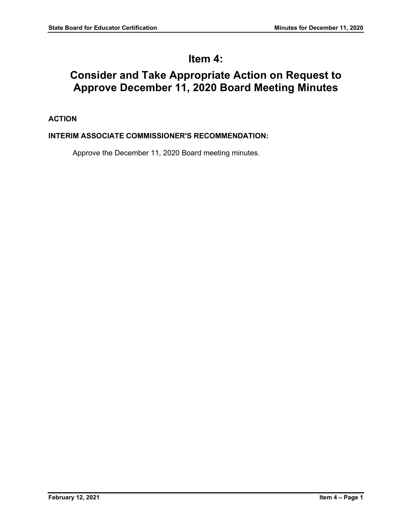# **Item 4:**

# **Consider and Take Appropriate Action on Request to Approve December 11, 2020 Board Meeting Minutes**

# **ACTION**

## **INTERIM ASSOCIATE COMMISSIONER'S RECOMMENDATION:**

Approve the December 11, 2020 Board meeting minutes.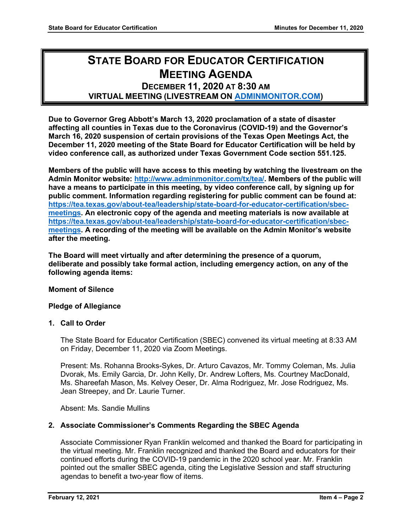# **STATE BOARD FOR EDUCATOR CERTIFICATION MEETING AGENDA**

# **DECEMBER 11, 2020 AT 8:30 AM VIRTUAL MEETING (LIVESTREAM ON [ADMINMONITOR.COM\)](http://www.adminmonitor.com/tx/tea/)**

**Due to Governor Greg Abbott's March 13, 2020 proclamation of a state of disaster affecting all counties in Texas due to the Coronavirus (COVID-19) and the Governor's March 16, 2020 suspension of certain provisions of the Texas Open Meetings Act, the December 11, 2020 meeting of the State Board for Educator Certification will be held by video conference call, as authorized under Texas Government Code section 551.125.**

**Members of the public will have access to this meeting by watching the livestream on the Admin Monitor website: [http://www.adminmonitor.com/tx/tea/.](http://www.adminmonitor.com/tx/tea/) Members of the public will have a means to participate in this meeting, by video conference call, by signing up for public comment. Information regarding registering for public comment can be found at: [https://tea.texas.gov/about-tea/leadership/state-board-for-educator-certification/sbec](https://nam10.safelinks.protection.outlook.com/?url=https%3A%2F%2Ftea.texas.gov%2Fabout-tea%2Fleadership%2Fstate-board-for-educator-certification%2Fsbec-meetings&data=02%7C01%7CKatelin.Allen%40tea.texas.gov%7C33f09bed51314321053e08d7e6d36cb5%7C65d6b3c3723648189613248dbd713a6f%7C0%7C0%7C637231668044732631&sdata=p8LIEPR4IIZEJnEdirrTXTHGHIbtX2MWtvumJv7Tzho%3D&reserved=0)[meetings.](https://nam10.safelinks.protection.outlook.com/?url=https%3A%2F%2Ftea.texas.gov%2Fabout-tea%2Fleadership%2Fstate-board-for-educator-certification%2Fsbec-meetings&data=02%7C01%7CKatelin.Allen%40tea.texas.gov%7C33f09bed51314321053e08d7e6d36cb5%7C65d6b3c3723648189613248dbd713a6f%7C0%7C0%7C637231668044732631&sdata=p8LIEPR4IIZEJnEdirrTXTHGHIbtX2MWtvumJv7Tzho%3D&reserved=0) An electronic copy of the agenda and meeting materials is now available at [https://tea.texas.gov/about-tea/leadership/state-board-for-educator-certification/sbec](https://tea.texas.gov/about-tea/leadership/state-board-for-educator-certification/sbec-meetings)[meetings.](https://tea.texas.gov/about-tea/leadership/state-board-for-educator-certification/sbec-meetings) A recording of the meeting will be available on the Admin Monitor's website after the meeting.**

**The Board will meet virtually and after determining the presence of a quorum, deliberate and possibly take formal action, including emergency action, on any of the following agenda items:**

#### **Moment of Silence**

#### **Pledge of Allegiance**

#### **1. Call to Order**

The State Board for Educator Certification (SBEC) convened its virtual meeting at 8:33 AM on Friday, December 11, 2020 via Zoom Meetings.

Present: Ms. Rohanna Brooks-Sykes, Dr. Arturo Cavazos, Mr. Tommy Coleman, Ms. Julia Dvorak, Ms. Emily Garcia, Dr. John Kelly, Dr. Andrew Lofters, Ms. Courtney MacDonald, Ms. Shareefah Mason, Ms. Kelvey Oeser, Dr. Alma Rodriguez, Mr. Jose Rodriguez, Ms. Jean Streepey, and Dr. Laurie Turner.

Absent: Ms. Sandie Mullins

#### **2. Associate Commissioner's Comments Regarding the SBEC Agenda**

Associate Commissioner Ryan Franklin welcomed and thanked the Board for participating in the virtual meeting. Mr. Franklin recognized and thanked the Board and educators for their continued efforts during the COVID-19 pandemic in the 2020 school year. Mr. Franklin pointed out the smaller SBEC agenda, citing the Legislative Session and staff structuring agendas to benefit a two-year flow of items.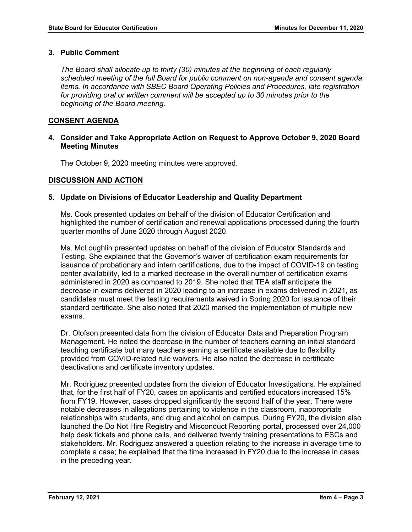## **3. Public Comment**

*The Board shall allocate up to thirty (30) minutes at the beginning of each regularly scheduled meeting of the full Board for public comment on non-agenda and consent agenda items. In accordance with SBEC Board Operating Policies and Procedures, late registration*  for providing oral or written comment will be accepted up to 30 minutes prior to the *beginning of the Board meeting.*

## **CONSENT AGENDA**

## **4. Consider and Take Appropriate Action on Request to Approve October 9, 2020 Board Meeting Minutes**

The October 9, 2020 meeting minutes were approved.

## **DISCUSSION AND ACTION**

## **5. Update on Divisions of Educator Leadership and Quality Department**

Ms. Cook presented updates on behalf of the division of Educator Certification and highlighted the number of certification and renewal applications processed during the fourth quarter months of June 2020 through August 2020.

Ms. McLoughlin presented updates on behalf of the division of Educator Standards and Testing. She explained that the Governor's waiver of certification exam requirements for issuance of probationary and intern certifications, due to the impact of COVID-19 on testing center availability, led to a marked decrease in the overall number of certification exams administered in 2020 as compared to 2019. She noted that TEA staff anticipate the decrease in exams delivered in 2020 leading to an increase in exams delivered in 2021, as candidates must meet the testing requirements waived in Spring 2020 for issuance of their standard certificate. She also noted that 2020 marked the implementation of multiple new exams.

Dr. Olofson presented data from the division of Educator Data and Preparation Program Management. He noted the decrease in the number of teachers earning an initial standard teaching certificate but many teachers earning a certificate available due to flexibility provided from COVID-related rule waivers. He also noted the decrease in certificate deactivations and certificate inventory updates.

Mr. Rodriguez presented updates from the division of Educator Investigations. He explained that, for the first half of FY20, cases on applicants and certified educators increased 15% from FY19. However, cases dropped significantly the second half of the year. There were notable decreases in allegations pertaining to violence in the classroom, inappropriate relationships with students, and drug and alcohol on campus. During FY20, the division also launched the Do Not Hire Registry and Misconduct Reporting portal, processed over 24,000 help desk tickets and phone calls, and delivered twenty training presentations to ESCs and stakeholders. Mr. Rodriguez answered a question relating to the increase in average time to complete a case; he explained that the time increased in FY20 due to the increase in cases in the preceding year.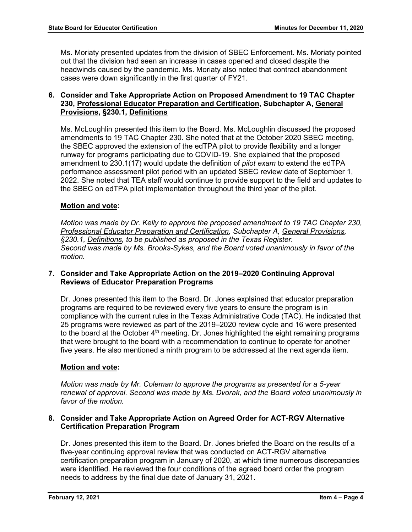Ms. Moriaty presented updates from the division of SBEC Enforcement. Ms. Moriaty pointed out that the division had seen an increase in cases opened and closed despite the headwinds caused by the pandemic. Ms. Moriaty also noted that contract abandonment cases were down significantly in the first quarter of FY21.

## **6. Consider and Take Appropriate Action on Proposed Amendment to 19 TAC Chapter 230, Professional Educator Preparation and Certification, Subchapter A, General Provisions, §230.1, Definitions**

Ms. McLoughlin presented this item to the Board. Ms. McLoughlin discussed the proposed amendments to 19 TAC Chapter 230. She noted that at the October 2020 SBEC meeting, the SBEC approved the extension of the edTPA pilot to provide flexibility and a longer runway for programs participating due to COVID-19. She explained that the proposed amendment to 230.1(17) would update the definition of *pilot exam* to extend the edTPA performance assessment pilot period with an updated SBEC review date of September 1, 2022. She noted that TEA staff would continue to provide support to the field and updates to the SBEC on edTPA pilot implementation throughout the third year of the pilot.

## **Motion and vote:**

*Motion was made by Dr. Kelly to approve the proposed amendment to 19 TAC Chapter 230, Professional Educator Preparation and Certification, Subchapter A, General Provisions, §230.1, Definitions, to be published as proposed in the Texas Register. Second was made by Ms. Brooks-Sykes, and the Board voted unanimously in favor of the motion.*

## **7. Consider and Take Appropriate Action on the 2019–2020 Continuing Approval Reviews of Educator Preparation Programs**

Dr. Jones presented this item to the Board. Dr. Jones explained that educator preparation programs are required to be reviewed every five years to ensure the program is in compliance with the current rules in the Texas Administrative Code (TAC). He indicated that 25 programs were reviewed as part of the 2019–2020 review cycle and 16 were presented to the board at the October  $4<sup>th</sup>$  meeting. Dr. Jones highlighted the eight remaining programs that were brought to the board with a recommendation to continue to operate for another five years. He also mentioned a ninth program to be addressed at the next agenda item.

## **Motion and vote:**

*Motion was made by Mr. Coleman to approve the programs as presented for a 5-year renewal of approval. Second was made by Ms. Dvorak, and the Board voted unanimously in favor of the motion.*

## **8. Consider and Take Appropriate Action on Agreed Order for ACT-RGV Alternative Certification Preparation Program**

Dr. Jones presented this item to the Board. Dr. Jones briefed the Board on the results of a five-year continuing approval review that was conducted on ACT-RGV alternative certification preparation program in January of 2020, at which time numerous discrepancies were identified. He reviewed the four conditions of the agreed board order the program needs to address by the final due date of January 31, 2021.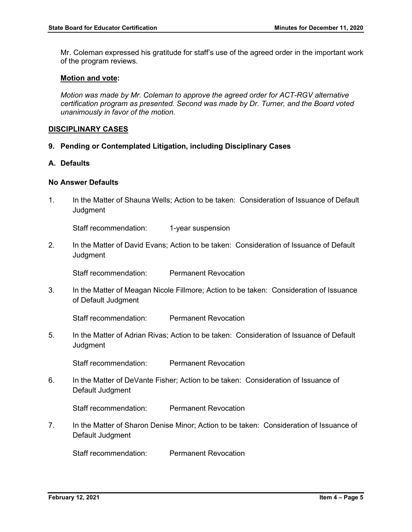Mr. Coleman expressed his gratitude for staff's use of the agreed order in the important work of the program reviews.

#### **Motion and vote:**

*Motion was made by Mr. Coleman to approve the agreed order for ACT-RGV alternative certification program as presented. Second was made by Dr. Turner, and the Board voted unanimously in favor of the motion.*

#### **DISCIPLINARY CASES**

- **9. Pending or Contemplated Litigation, including Disciplinary Cases**
- **A. Defaults**

## **No Answer Defaults**

1. In the Matter of Shauna Wells; Action to be taken: Consideration of Issuance of Default **Judgment** 

Staff recommendation: 1-year suspension

2. In the Matter of David Evans; Action to be taken: Consideration of Issuance of Default **Judgment** 

Staff recommendation: Permanent Revocation

3. In the Matter of Meagan Nicole Fillmore; Action to be taken: Consideration of Issuance of Default Judgment

Staff recommendation: Permanent Revocation

5. In the Matter of Adrian Rivas; Action to be taken: Consideration of Issuance of Default **Judament** 

Staff recommendation: Permanent Revocation

6. In the Matter of DeVante Fisher; Action to be taken: Consideration of Issuance of Default Judgment

Staff recommendation: Permanent Revocation

7. In the Matter of Sharon Denise Minor; Action to be taken: Consideration of Issuance of Default Judgment

Staff recommendation: Permanent Revocation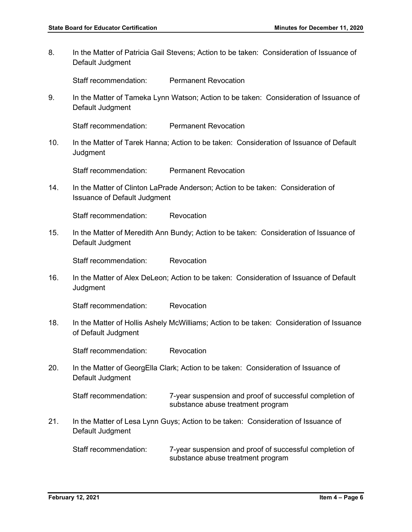8. In the Matter of Patricia Gail Stevens; Action to be taken: Consideration of Issuance of Default Judgment

Staff recommendation: Permanent Revocation

9. In the Matter of Tameka Lynn Watson; Action to be taken: Consideration of Issuance of Default Judgment

Staff recommendation: Permanent Revocation

10. In the Matter of Tarek Hanna; Action to be taken: Consideration of Issuance of Default **Judgment** 

Staff recommendation: Permanent Revocation

14. In the Matter of Clinton LaPrade Anderson; Action to be taken: Consideration of Issuance of Default Judgment

Staff recommendation: Revocation

15. In the Matter of Meredith Ann Bundy; Action to be taken: Consideration of Issuance of Default Judgment

Staff recommendation: Revocation

16. In the Matter of Alex DeLeon; Action to be taken: Consideration of Issuance of Default **Judgment** 

Staff recommendation: Revocation

18. In the Matter of Hollis Ashely McWilliams; Action to be taken: Consideration of Issuance of Default Judgment

Staff recommendation: Revocation

20. In the Matter of GeorgElla Clark; Action to be taken: Consideration of Issuance of Default Judgment

Staff recommendation: 7-year suspension and proof of successful completion of substance abuse treatment program

21. In the Matter of Lesa Lynn Guys; Action to be taken: Consideration of Issuance of Default Judgment

Staff recommendation: 7-year suspension and proof of successful completion of substance abuse treatment program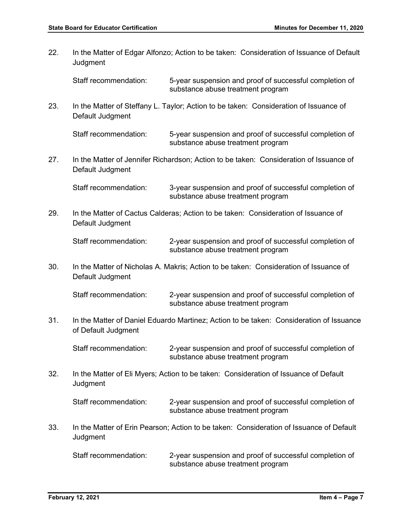| 22. | In the Matter of Edgar Alfonzo; Action to be taken: Consideration of Issuance of Default<br>Judgment           |                                                                                              |  |
|-----|----------------------------------------------------------------------------------------------------------------|----------------------------------------------------------------------------------------------|--|
|     | Staff recommendation:                                                                                          | 5-year suspension and proof of successful completion of<br>substance abuse treatment program |  |
| 23. | Default Judgment                                                                                               | In the Matter of Steffany L. Taylor; Action to be taken: Consideration of Issuance of        |  |
|     | Staff recommendation:                                                                                          | 5-year suspension and proof of successful completion of<br>substance abuse treatment program |  |
| 27. | Default Judgment                                                                                               | In the Matter of Jennifer Richardson; Action to be taken: Consideration of Issuance of       |  |
|     | Staff recommendation:                                                                                          | 3-year suspension and proof of successful completion of<br>substance abuse treatment program |  |
| 29. | In the Matter of Cactus Calderas; Action to be taken: Consideration of Issuance of<br>Default Judgment         |                                                                                              |  |
|     | Staff recommendation:                                                                                          | 2-year suspension and proof of successful completion of<br>substance abuse treatment program |  |
| 30. | In the Matter of Nicholas A. Makris; Action to be taken: Consideration of Issuance of<br>Default Judgment      |                                                                                              |  |
|     | Staff recommendation:                                                                                          | 2-year suspension and proof of successful completion of<br>substance abuse treatment program |  |
| 31. | In the Matter of Daniel Eduardo Martinez; Action to be taken: Consideration of Issuance<br>of Default Judgment |                                                                                              |  |
|     | Staff recommendation:                                                                                          | 2-year suspension and proof of successful completion of<br>substance abuse treatment program |  |
| 32. | In the Matter of Eli Myers; Action to be taken: Consideration of Issuance of Default<br>Judgment               |                                                                                              |  |
|     | Staff recommendation:                                                                                          | 2-year suspension and proof of successful completion of<br>substance abuse treatment program |  |
| 33. | In the Matter of Erin Pearson; Action to be taken: Consideration of Issuance of Default<br>Judgment            |                                                                                              |  |
|     | Staff recommendation:                                                                                          | 2-year suspension and proof of successful completion of<br>substance abuse treatment program |  |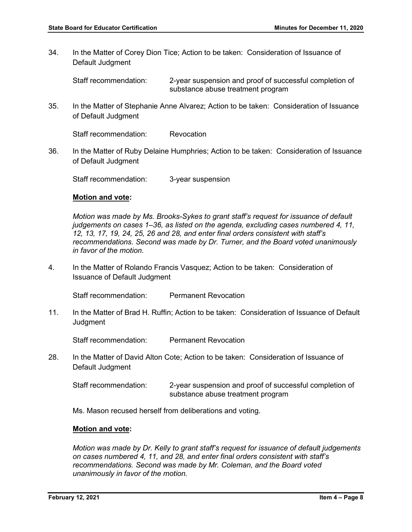34. In the Matter of Corey Dion Tice; Action to be taken: Consideration of Issuance of Default Judgment

Staff recommendation: 2-year suspension and proof of successful completion of substance abuse treatment program

35. In the Matter of Stephanie Anne Alvarez; Action to be taken: Consideration of Issuance of Default Judgment

Staff recommendation: Revocation

36. In the Matter of Ruby Delaine Humphries; Action to be taken: Consideration of Issuance of Default Judgment

Staff recommendation: 3-year suspension

#### **Motion and vote:**

*Motion was made by Ms. Brooks-Sykes to grant staff's request for issuance of default judgements on cases 1–36, as listed on the agenda, excluding cases numbered 4, 11, 12, 13, 17, 19, 24, 25, 26 and 28, and enter final orders consistent with staff's recommendations. Second was made by Dr. Turner, and the Board voted unanimously in favor of the motion.*

4. In the Matter of Rolando Francis Vasquez; Action to be taken: Consideration of Issuance of Default Judgment

Staff recommendation: Permanent Revocation

11. In the Matter of Brad H. Ruffin; Action to be taken: Consideration of Issuance of Default Judgment

Staff recommendation: Permanent Revocation

28. In the Matter of David Alton Cote; Action to be taken: Consideration of Issuance of Default Judgment

Staff recommendation: 2-year suspension and proof of successful completion of substance abuse treatment program

Ms. Mason recused herself from deliberations and voting.

#### **Motion and vote:**

*Motion was made by Dr. Kelly to grant staff's request for issuance of default judgements on cases numbered 4, 11, and 28, and enter final orders consistent with staff's recommendations. Second was made by Mr. Coleman, and the Board voted unanimously in favor of the motion.*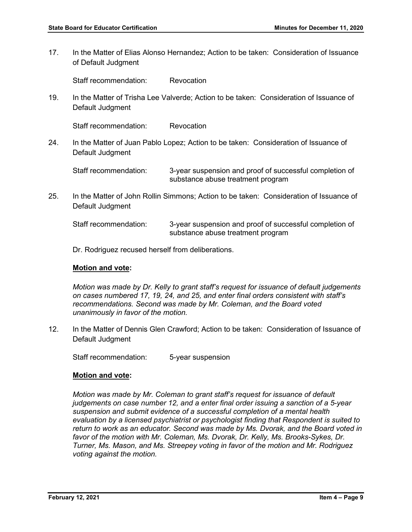17. In the Matter of Elias Alonso Hernandez; Action to be taken: Consideration of Issuance of Default Judgment

Staff recommendation: Revocation

19. In the Matter of Trisha Lee Valverde; Action to be taken: Consideration of Issuance of Default Judgment

Staff recommendation: Revocation

24. In the Matter of Juan Pablo Lopez; Action to be taken: Consideration of Issuance of Default Judgment

Staff recommendation: 3-year suspension and proof of successful completion of substance abuse treatment program

25. In the Matter of John Rollin Simmons; Action to be taken: Consideration of Issuance of Default Judgment

| Staff recommendation: | 3-year suspension and proof of successful completion of |
|-----------------------|---------------------------------------------------------|
|                       | substance abuse treatment program                       |

Dr. Rodriguez recused herself from deliberations.

#### **Motion and vote:**

*Motion was made by Dr. Kelly to grant staff's request for issuance of default judgements on cases numbered 17, 19, 24, and 25, and enter final orders consistent with staff's recommendations. Second was made by Mr. Coleman, and the Board voted unanimously in favor of the motion.*

12. In the Matter of Dennis Glen Crawford; Action to be taken: Consideration of Issuance of Default Judgment

Staff recommendation: 5-year suspension

#### **Motion and vote:**

*Motion was made by Mr. Coleman to grant staff's request for issuance of default judgements on case number 12, and a enter final order issuing a sanction of a 5-year suspension and submit evidence of a successful completion of a mental health evaluation by a licensed psychiatrist or psychologist finding that Respondent is suited to return to work as an educator. Second was made by Ms. Dvorak, and the Board voted in favor of the motion with Mr. Coleman, Ms. Dvorak, Dr. Kelly, Ms. Brooks-Sykes, Dr. Turner, Ms. Mason, and Ms. Streepey voting in favor of the motion and Mr. Rodriguez voting against the motion.*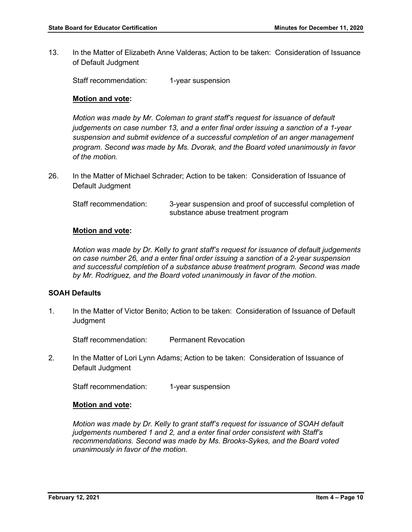13. In the Matter of Elizabeth Anne Valderas; Action to be taken: Consideration of Issuance of Default Judgment

Staff recommendation: 1-year suspension

## **Motion and vote:**

*Motion was made by Mr. Coleman to grant staff's request for issuance of default judgements on case number 13, and a enter final order issuing a sanction of a 1-year suspension and submit evidence of a successful completion of an anger management program. Second was made by Ms. Dvorak, and the Board voted unanimously in favor of the motion.*

26. In the Matter of Michael Schrader; Action to be taken: Consideration of Issuance of Default Judgment

| Staff recommendation: | 3-year suspension and proof of successful completion of |
|-----------------------|---------------------------------------------------------|
|                       | substance abuse treatment program                       |

#### **Motion and vote:**

*Motion was made by Dr. Kelly to grant staff's request for issuance of default judgements on case number 26, and a enter final order issuing a sanction of a 2-year suspension and successful completion of a substance abuse treatment program. Second was made by Mr. Rodriguez, and the Board voted unanimously in favor of the motion.*

#### **SOAH Defaults**

1. In the Matter of Victor Benito; Action to be taken: Consideration of Issuance of Default **Judgment** 

Staff recommendation: Permanent Revocation

2. In the Matter of Lori Lynn Adams; Action to be taken: Consideration of Issuance of Default Judgment

Staff recommendation: 1-year suspension

#### **Motion and vote:**

*Motion was made by Dr. Kelly to grant staff's request for issuance of SOAH default judgements numbered 1 and 2, and a enter final order consistent with Staff's recommendations. Second was made by Ms. Brooks-Sykes, and the Board voted unanimously in favor of the motion.*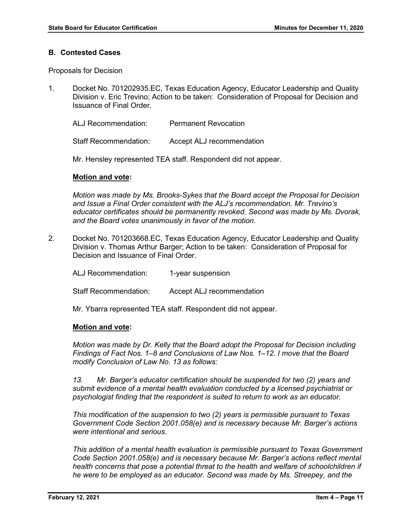#### **B. Contested Cases**

Proposals for Decision

1. Docket No. 701202935.EC, Texas Education Agency, Educator Leadership and Quality Division v. Eric Trevino; Action to be taken: Consideration of Proposal for Decision and Issuance of Final Order.

ALJ Recommendation: Permanent Revocation

Staff Recommendation: Accept ALJ recommendation

Mr. Hensley represented TEA staff. Respondent did not appear.

#### **Motion and vote:**

*Motion was made by Ms. Brooks-Sykes that the Board accept the Proposal for Decision and Issue a Final Order consistent with the ALJ's recommendation. Mr. Trevino's educator certificates should be permanently revoked. Second was made by Ms. Dvorak, and the Board votes unanimously in favor of the motion.* 

2. Docket No. 701203668.EC, Texas Education Agency, Educator Leadership and Quality Division v. Thomas Arthur Barger; Action to be taken: Consideration of Proposal for Decision and Issuance of Final Order.

ALJ Recommendation: 1-year suspension Staff Recommendation: Accept ALJ recommendation

Mr. Ybarra represented TEA staff. Respondent did not appear.

#### **Motion and vote:**

*Motion was made by Dr. Kelly that the Board adopt the Proposal for Decision including Findings of Fact Nos. 1–8 and Conclusions of Law Nos. 1–12. I move that the Board modify Conclusion of Law No. 13 as follows:*

*13. Mr. Barger's educator certification should be suspended for two (2) years and submit evidence of a mental health evaluation conducted by a licensed psychiatrist or psychologist finding that the respondent is suited to return to work as an educator.*

*This modification of the suspension to two (2) years is permissible pursuant to Texas Government Code Section 2001.058(e) and is necessary because Mr. Barger's actions were intentional and serious.* 

*This addition of a mental health evaluation is permissible pursuant to Texas Government Code Section 2001.058(e) and is necessary because Mr. Barger's actions reflect mental*  health concerns that pose a potential threat to the health and welfare of schoolchildren if *he were to be employed as an educator. Second was made by Ms. Streepey, and the*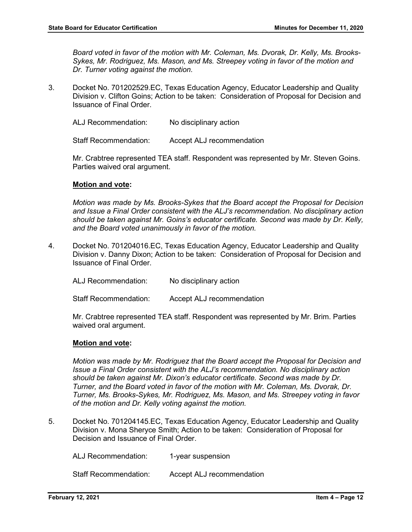*Board voted in favor of the motion with Mr. Coleman, Ms. Dvorak, Dr. Kelly, Ms. Brooks-Sykes, Mr. Rodriguez, Ms. Mason, and Ms. Streepey voting in favor of the motion and Dr. Turner voting against the motion.*

3. Docket No. 701202529.EC, Texas Education Agency, Educator Leadership and Quality Division v. Clifton Goins; Action to be taken: Consideration of Proposal for Decision and Issuance of Final Order.

ALJ Recommendation: No disciplinary action

Staff Recommendation: Accept ALJ recommendation

Mr. Crabtree represented TEA staff. Respondent was represented by Mr. Steven Goins. Parties waived oral argument.

#### **Motion and vote:**

*Motion was made by Ms. Brooks-Sykes that the Board accept the Proposal for Decision and Issue a Final Order consistent with the ALJ's recommendation. No disciplinary action should be taken against Mr. Goins's educator certificate. Second was made by Dr. Kelly, and the Board voted unanimously in favor of the motion.* 

4. Docket No. 701204016.EC, Texas Education Agency, Educator Leadership and Quality Division v. Danny Dixon; Action to be taken: Consideration of Proposal for Decision and Issuance of Final Order.

| <b>ALJ Recommendation:</b> | No disciplinary action |
|----------------------------|------------------------|
|----------------------------|------------------------|

Staff Recommendation: Accept ALJ recommendation

Mr. Crabtree represented TEA staff. Respondent was represented by Mr. Brim. Parties waived oral argument.

#### **Motion and vote:**

*Motion was made by Mr. Rodriguez that the Board accept the Proposal for Decision and Issue a Final Order consistent with the ALJ's recommendation. No disciplinary action should be taken against Mr. Dixon's educator certificate. Second was made by Dr. Turner, and the Board voted in favor of the motion with Mr. Coleman, Ms. Dvorak, Dr. Turner, Ms. Brooks-Sykes, Mr. Rodriguez, Ms. Mason, and Ms. Streepey voting in favor of the motion and Dr. Kelly voting against the motion.*

5. Docket No. 701204145.EC, Texas Education Agency, Educator Leadership and Quality Division v. Mona Sheryce Smith; Action to be taken: Consideration of Proposal for Decision and Issuance of Final Order.

ALJ Recommendation: 1-year suspension

Staff Recommendation: Accept ALJ recommendation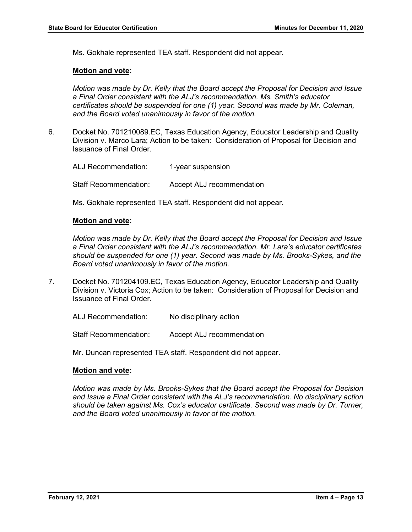Ms. Gokhale represented TEA staff. Respondent did not appear.

#### **Motion and vote:**

*Motion was made by Dr. Kelly that the Board accept the Proposal for Decision and Issue a Final Order consistent with the ALJ's recommendation. Ms. Smith's educator certificates should be suspended for one (1) year. Second was made by Mr. Coleman, and the Board voted unanimously in favor of the motion.* 

6. Docket No. 701210089.EC, Texas Education Agency, Educator Leadership and Quality Division v. Marco Lara; Action to be taken: Consideration of Proposal for Decision and Issuance of Final Order.

ALJ Recommendation: 1-year suspension Staff Recommendation: Accept ALJ recommendation

Ms. Gokhale represented TEA staff. Respondent did not appear.

#### **Motion and vote:**

*Motion was made by Dr. Kelly that the Board accept the Proposal for Decision and Issue a Final Order consistent with the ALJ's recommendation. Mr. Lara's educator certificates should be suspended for one (1) year. Second was made by Ms. Brooks-Sykes, and the Board voted unanimously in favor of the motion.* 

7. Docket No. 701204109.EC, Texas Education Agency, Educator Leadership and Quality Division v. Victoria Cox; Action to be taken: Consideration of Proposal for Decision and Issuance of Final Order.

ALJ Recommendation: No disciplinary action

Staff Recommendation: Accept ALJ recommendation

Mr. Duncan represented TEA staff. Respondent did not appear.

#### **Motion and vote:**

*Motion was made by Ms. Brooks-Sykes that the Board accept the Proposal for Decision and Issue a Final Order consistent with the ALJ's recommendation. No disciplinary action should be taken against Ms. Cox's educator certificate. Second was made by Dr. Turner, and the Board voted unanimously in favor of the motion.*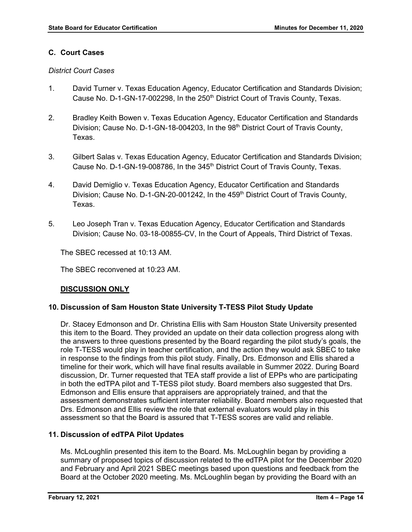## **C. Court Cases**

## *District Court Cases*

- 1. David Turner v. Texas Education Agency, Educator Certification and Standards Division; Cause No. D-1-GN-17-002298, In the 250<sup>th</sup> District Court of Travis County, Texas.
- 2. Bradley Keith Bowen v. Texas Education Agency, Educator Certification and Standards Division; Cause No. D-1-GN-18-004203, In the 98<sup>th</sup> District Court of Travis County, Texas.
- 3. Gilbert Salas v. Texas Education Agency, Educator Certification and Standards Division; Cause No. D-1-GN-19-008786, In the 345<sup>th</sup> District Court of Travis County, Texas.
- 4. David Demiglio v. Texas Education Agency, Educator Certification and Standards Division; Cause No. D-1-GN-20-001242, In the 459<sup>th</sup> District Court of Travis County, Texas.
- 5. Leo Joseph Tran v. Texas Education Agency, Educator Certification and Standards Division; Cause No. 03-18-00855-CV, In the Court of Appeals, Third District of Texas.

The SBEC recessed at 10:13 AM.

The SBEC reconvened at 10:23 AM.

## **DISCUSSION ONLY**

## **10. Discussion of Sam Houston State University T-TESS Pilot Study Update**

Dr. Stacey Edmonson and Dr. Christina Ellis with Sam Houston State University presented this item to the Board. They provided an update on their data collection progress along with the answers to three questions presented by the Board regarding the pilot study's goals, the role T-TESS would play in teacher certification, and the action they would ask SBEC to take in response to the findings from this pilot study. Finally, Drs. Edmonson and Ellis shared a timeline for their work, which will have final results available in Summer 2022. During Board discussion, Dr. Turner requested that TEA staff provide a list of EPPs who are participating in both the edTPA pilot and T-TESS pilot study. Board members also suggested that Drs. Edmonson and Ellis ensure that appraisers are appropriately trained, and that the assessment demonstrates sufficient interrater reliability. Board members also requested that Drs. Edmonson and Ellis review the role that external evaluators would play in this assessment so that the Board is assured that T-TESS scores are valid and reliable.

## **11. Discussion of edTPA Pilot Updates**

Ms. McLoughlin presented this item to the Board. Ms. McLoughlin began by providing a summary of proposed topics of discussion related to the edTPA pilot for the December 2020 and February and April 2021 SBEC meetings based upon questions and feedback from the Board at the October 2020 meeting. Ms. McLoughlin began by providing the Board with an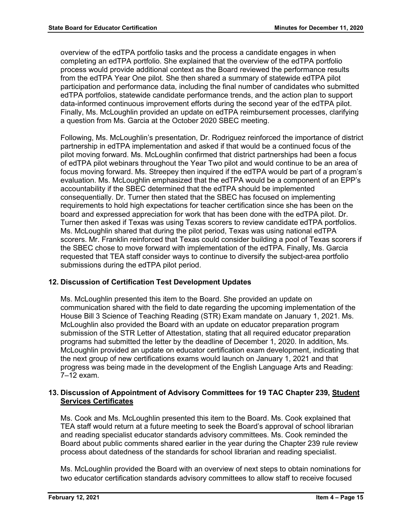overview of the edTPA portfolio tasks and the process a candidate engages in when completing an edTPA portfolio. She explained that the overview of the edTPA portfolio process would provide additional context as the Board reviewed the performance results from the edTPA Year One pilot. She then shared a summary of statewide edTPA pilot participation and performance data, including the final number of candidates who submitted edTPA portfolios, statewide candidate performance trends, and the action plan to support data-informed continuous improvement efforts during the second year of the edTPA pilot. Finally, Ms. McLoughlin provided an update on edTPA reimbursement processes, clarifying a question from Ms. Garcia at the October 2020 SBEC meeting.

Following, Ms. McLoughlin's presentation, Dr. Rodriguez reinforced the importance of district partnership in edTPA implementation and asked if that would be a continued focus of the pilot moving forward. Ms. McLoughlin confirmed that district partnerships had been a focus of edTPA pilot webinars throughout the Year Two pilot and would continue to be an area of focus moving forward. Ms. Streepey then inquired if the edTPA would be part of a program's evaluation. Ms. McLoughlin emphasized that the edTPA would be a component of an EPP's accountability if the SBEC determined that the edTPA should be implemented consequentially. Dr. Turner then stated that the SBEC has focused on implementing requirements to hold high expectations for teacher certification since she has been on the board and expressed appreciation for work that has been done with the edTPA pilot. Dr. Turner then asked if Texas was using Texas scorers to review candidate edTPA portfolios. Ms. McLoughlin shared that during the pilot period, Texas was using national edTPA scorers. Mr. Franklin reinforced that Texas could consider building a pool of Texas scorers if the SBEC chose to move forward with implementation of the edTPA. Finally, Ms. Garcia requested that TEA staff consider ways to continue to diversify the subject-area portfolio submissions during the edTPA pilot period.

## **12. Discussion of Certification Test Development Updates**

Ms. McLoughlin presented this item to the Board. She provided an update on communication shared with the field to date regarding the upcoming implementation of the House Bill 3 Science of Teaching Reading (STR) Exam mandate on January 1, 2021. Ms. McLoughlin also provided the Board with an update on educator preparation program submission of the STR Letter of Attestation, stating that all required educator preparation programs had submitted the letter by the deadline of December 1, 2020. In addition, Ms. McLoughlin provided an update on educator certification exam development, indicating that the next group of new certifications exams would launch on January 1, 2021 and that progress was being made in the development of the English Language Arts and Reading: 7–12 exam.

## **13. Discussion of Appointment of Advisory Committees for 19 TAC Chapter 239, Student Services Certificates**

Ms. Cook and Ms. McLoughlin presented this item to the Board. Ms. Cook explained that TEA staff would return at a future meeting to seek the Board's approval of school librarian and reading specialist educator standards advisory committees. Ms. Cook reminded the Board about public comments shared earlier in the year during the Chapter 239 rule review process about datedness of the standards for school librarian and reading specialist.

Ms. McLoughlin provided the Board with an overview of next steps to obtain nominations for two educator certification standards advisory committees to allow staff to receive focused